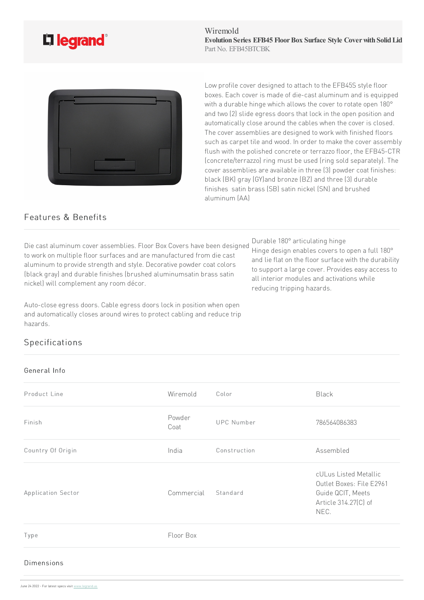

Wiremold **Evolution Series EFB45 FloorBox Surface Style Coverwith SolidLid** Part No. EFB45BTCBK



Low profile cover designed to attach to the EFB45S style floor boxes. Each cover is made of die-cast aluminum and is equipped with a durable hinge which allows the cover to rotate open 180° and two (2) slide egress doors that lock in the open position and automatically close around the cables when the cover is closed. The cover assemblies are designed to work with finished floors such as carpet tile and wood. In order to make the cover assembly flush with the polished concrete or terrazzo floor, the EFB45-CTR (concrete/terrazzo) ring must be used (ring sold separately). The cover assemblies are available in three (3) powder coat finishes: black (BK) gray (GY)and bronze (BZ) and three (3) durable finishes satin brass (SB) satin nickel (SN) and brushed aluminum (AA)

Durable 180° articulating hinge

reducing tripping hazards.

Hinge design enables covers to open a full 180° and lie flat on the floor surface with the durability to support a large cover. Provides easy access to

all interior modules and activations while

## Features & Benefits

Die cast aluminum cover assemblies. Floor Box Covers have been designed to work on multiple floor surfaces and are manufactured from die cast aluminum to provide strength and style. Decorative powder coat colors (black gray) and durable finishes (brushed aluminumsatin brass satin nickel) will complementany room décor.

Auto-close egress doors. Cable egress doors lock in position when open and automatically closes around wires to protect cabling and reduce trip hazards.

## Specifications

## General Info

| Product Line       | Wiremold       | Color             | <b>Black</b>                                                                                           |
|--------------------|----------------|-------------------|--------------------------------------------------------------------------------------------------------|
| Finish             | Powder<br>Coat | <b>UPC Number</b> | 786564086383                                                                                           |
| Country Of Origin  | India          | Construction      | Assembled                                                                                              |
| Application Sector | Commercial     | Standard          | cULus Listed Metallic<br>Outlet Boxes: File E2961<br>Guide QCIT, Meets<br>Article 314.27(C) of<br>NEC. |
| Type               | Floor Box      |                   |                                                                                                        |

## Dimensions